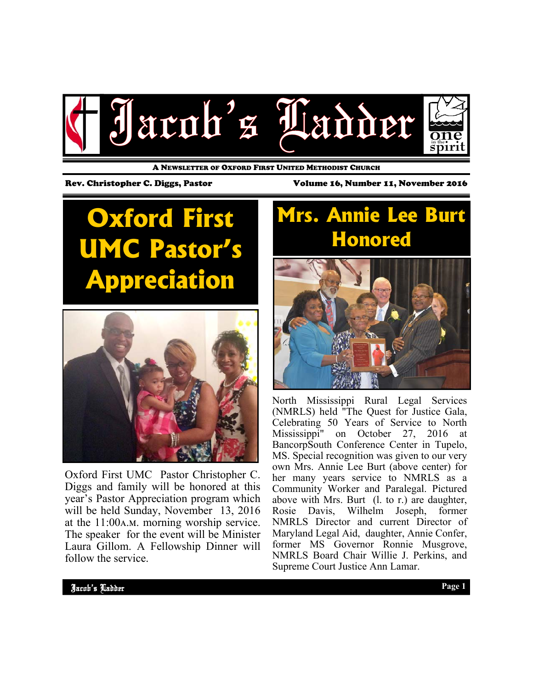

A NEWSLETTER OF OXFORD FIRST UNITED METHODIST CHURCH

**Oxford First UMC Pastor's Appreciation** 



Oxford First UMC Pastor Christopher C. Diggs and family will be honored at this year's Pastor Appreciation program which will be held Sunday, November 13, 2016 at the  $11:00$ A.M. morning worship service. The speaker for the event will be Minister Laura Gillom. A Fellowship Dinner will follow the service.

#### Rev. Christopher C. Diggs, Pastor Volume 16, Number 11, November 2016

### **Mrs. Annie Lee Burt Honored**



North Mississippi Rural Legal Services (NMRLS) held "The Quest for Justice Gala, Celebrating 50 Years of Service to North Mississippi" on October 27, 2016 at BancorpSouth Conference Center in Tupelo, MS. Special recognition was given to our very own Mrs. Annie Lee Burt (above center) for her many years service to NMRLS as a Community Worker and Paralegal. Pictured above with Mrs. Burt (l. to r.) are daughter, Rosie Davis, Wilhelm Joseph, former NMRLS Director and current Director of Maryland Legal Aid, daughter, Annie Confer, former MS Governor Ronnie Musgrove, NMRLS Board Chair Willie J. Perkins, and Supreme Court Justice Ann Lamar.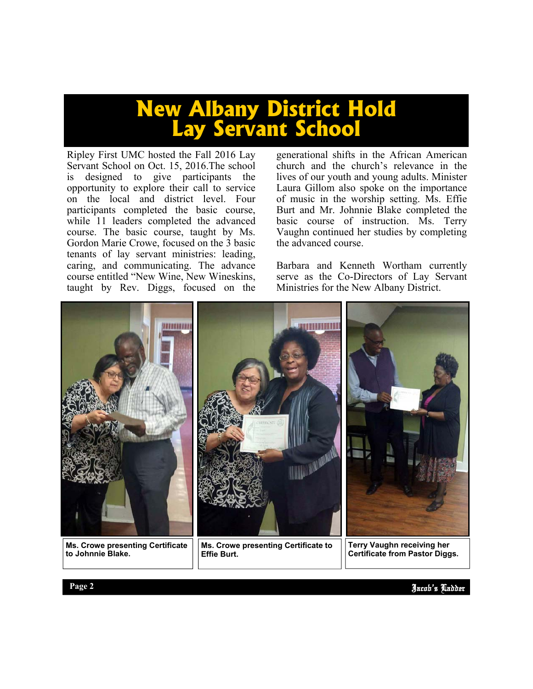### **New Albany District Hold Lay Servant School**

Ripley First UMC hosted the Fall 2016 Lay Servant School on Oct. 15, 2016.The school is designed to give participants the opportunity to explore their call to service on the local and district level. Four participants completed the basic course, while 11 leaders completed the advanced course. The basic course, taught by Ms. Gordon Marie Crowe, focused on the 3 basic tenants of lay servant ministries: leading, caring, and communicating. The advance course entitled "New Wine, New Wineskins, taught by Rev. Diggs, focused on the generational shifts in the African American church and the church's relevance in the lives of our youth and young adults. Minister Laura Gillom also spoke on the importance of music in the worship setting. Ms. Effie Burt and Mr. Johnnie Blake completed the basic course of instruction. Ms. Terry Vaughn continued her studies by completing the advanced course.

Barbara and Kenneth Wortham currently serve as the Co-Directors of Lay Servant Ministries for the New Albany District.



**to Johnnie Blake.**

**Effie Burt.**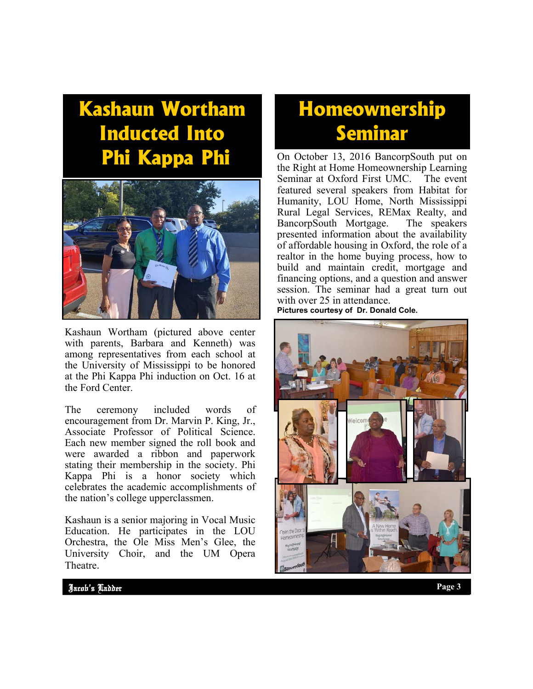## **Kashaun Wortham Inducted Into Phi Kappa Phi**



Kashaun Wortham (pictured above center with parents, Barbara and Kenneth) was among representatives from each school at the University of Mississippi to be honored at the Phi Kappa Phi induction on Oct. 16 at the Ford Center.

The ceremony included words of encouragement from Dr. Marvin P. King, Jr., Associate Professor of Political Science. Each new member signed the roll book and were awarded a ribbon and paperwork stating their membership in the society. Phi Kappa Phi is a honor society which celebrates the academic accomplishments of the nation's college upperclassmen.

Kashaun is a senior majoring in Vocal Music Education. He participates in the LOU Orchestra, the Ole Miss Men's Glee, the University Choir, and the UM Opera Theatre.

### **Homeownership Seminar**

On October 13, 2016 BancorpSouth put on the Right at Home Homeownership Learning Seminar at Oxford First UMC. The event featured several speakers from Habitat for Humanity, LOU Home, North Mississippi Rural Legal Services, REMax Realty, and<br>BancorpSouth Mortgage. The speakers BancorpSouth Mortgage. presented information about the availability of affordable housing in Oxford, the role of a realtor in the home buying process, how to build and maintain credit, mortgage and financing options, and a question and answer session. The seminar had a great turn out with over 25 in attendance.

**Pictures courtesy of Dr. Donald Cole.**